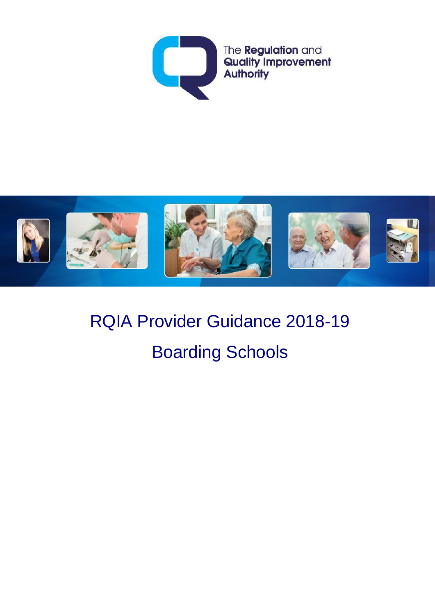



# RQIA Provider Guidance 2018-19 Boarding Schools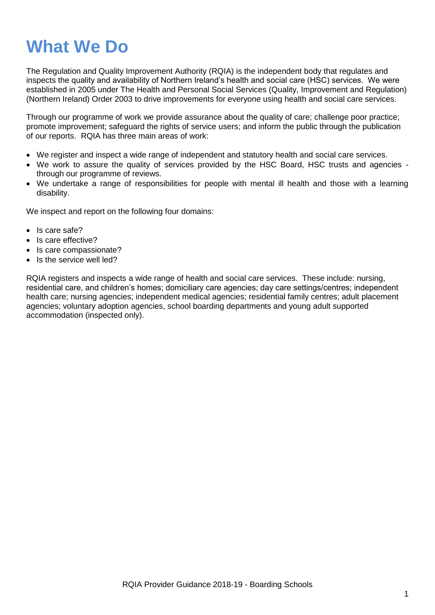## **What We Do**

The Regulation and Quality Improvement Authority (RQIA) is the independent body that regulates and inspects the quality and availability of Northern Ireland's health and social care (HSC) services. We were established in 2005 under The Health and Personal Social Services (Quality, Improvement and Regulation) (Northern Ireland) Order 2003 to drive improvements for everyone using health and social care services.

Through our programme of work we provide assurance about the quality of care; challenge poor practice; promote improvement; safeguard the rights of service users; and inform the public through the publication of our reports. RQIA has three main areas of work:

- We register and inspect a wide range of independent and statutory health and social care services.
- We work to assure the quality of services provided by the HSC Board, HSC trusts and agencies through our programme of reviews.
- We undertake a range of responsibilities for people with mental ill health and those with a learning disability.

We inspect and report on the following four domains:

- Is care safe?
- Is care effective?
- Is care compassionate?
- Is the service well led?

RQIA registers and inspects a wide range of health and social care services. These include: nursing, residential care, and children's homes; domiciliary care agencies; day care settings/centres; independent health care; nursing agencies; independent medical agencies; residential family centres; adult placement agencies; voluntary adoption agencies, school boarding departments and young adult supported accommodation (inspected only).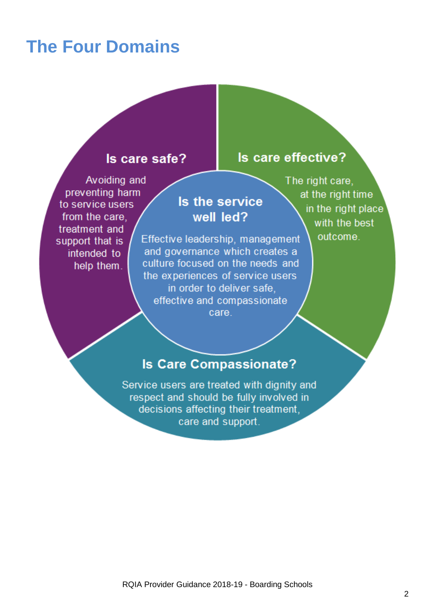## **The Four Domains**

#### Is care safe?

### Is care effective?

Avoiding and preventing harm to service users from the care. treatment and support that is intended to help them.

## Is the service well led?

Effective leadership, management and governance which creates a culture focused on the needs and the experiences of service users in order to deliver safe, effective and compassionate care.

The right care, at the right time in the right place with the best outcome.

#### **Is Care Compassionate?**

Service users are treated with dignity and respect and should be fully involved in decisions affecting their treatment, care and support.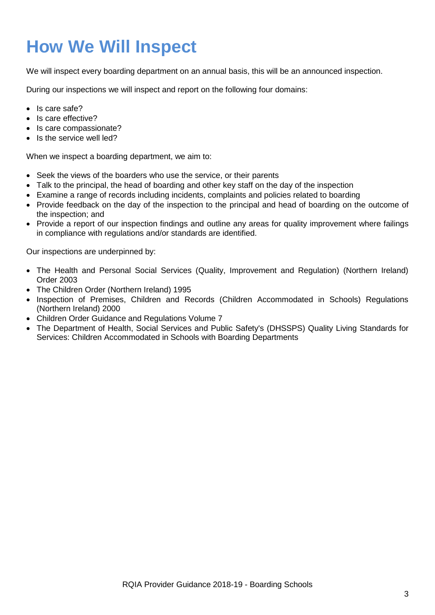## **How We Will Inspect**

We will inspect every boarding department on an annual basis, this will be an announced inspection.

During our inspections we will inspect and report on the following four domains:

- Is care safe?
- Is care effective?
- Is care compassionate?
- $\bullet$  Is the service well led?

When we inspect a boarding department, we aim to:

- Seek the views of the boarders who use the service, or their parents
- Talk to the principal, the head of boarding and other key staff on the day of the inspection
- Examine a range of records including incidents, complaints and policies related to boarding
- Provide feedback on the day of the inspection to the principal and head of boarding on the outcome of the inspection; and
- Provide a report of our inspection findings and outline any areas for quality improvement where failings in compliance with regulations and/or standards are identified.

Our inspections are underpinned by:

- The Health and Personal Social Services (Quality, Improvement and Regulation) (Northern Ireland) Order 2003
- The Children Order (Northern Ireland) 1995
- Inspection of Premises, Children and Records (Children Accommodated in Schools) Regulations (Northern Ireland) 2000
- Children Order Guidance and Regulations Volume 7
- The Department of Health, Social Services and Public Safety's (DHSSPS) Quality Living Standards for Services: Children Accommodated in Schools with Boarding Departments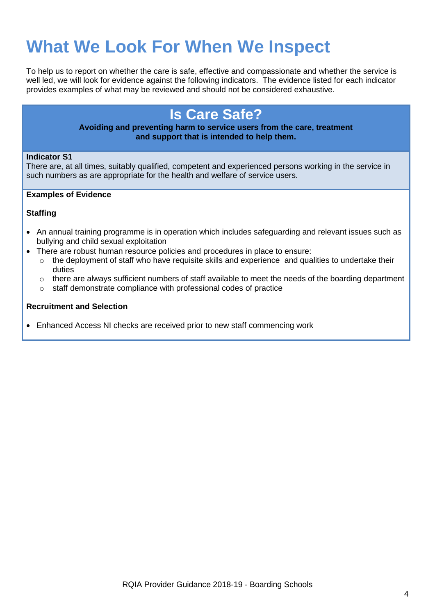## **What We Look For When We Inspect**

To help us to report on whether the care is safe, effective and compassionate and whether the service is well led, we will look for evidence against the following indicators. The evidence listed for each indicator provides examples of what may be reviewed and should not be considered exhaustive.

### **Is Care Safe?**

#### **Avoiding and preventing harm to service users from the care, treatment and support that is intended to help them.**

#### **Indicator S1**

There are, at all times, suitably qualified, competent and experienced persons working in the service in such numbers as are appropriate for the health and welfare of service users.

#### **Examples of Evidence**

#### **Staffing**

- An annual training programme is in operation which includes safeguarding and relevant issues such as bullying and child sexual exploitation
- There are robust human resource policies and procedures in place to ensure:
	- $\circ$  the deployment of staff who have requisite skills and experience and qualities to undertake their duties
	- $\circ$  there are always sufficient numbers of staff available to meet the needs of the boarding department
	- o staff demonstrate compliance with professional codes of practice

#### **Recruitment and Selection**

Enhanced Access NI checks are received prior to new staff commencing work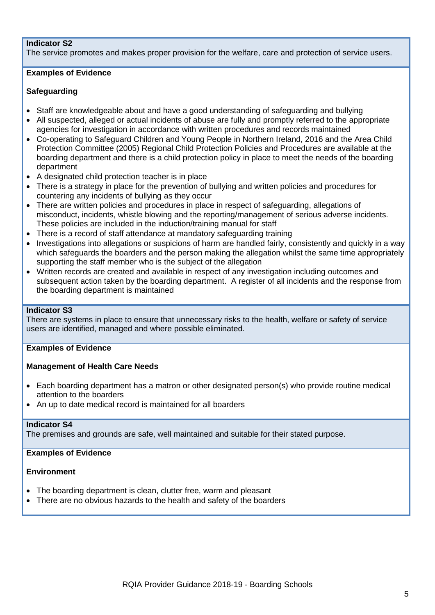#### **Indicator S2**

The service promotes and makes proper provision for the welfare, care and protection of service users.

#### **Examples of Evidence**

#### **Safeguarding**

- Staff are knowledgeable about and have a good understanding of safeguarding and bullying
- All suspected, alleged or actual incidents of abuse are fully and promptly referred to the appropriate agencies for investigation in accordance with written procedures and records maintained
- Co-operating to Safeguard Children and Young People in Northern Ireland, 2016 and the Area Child Protection Committee (2005) Regional Child Protection Policies and Procedures are available at the boarding department and there is a child protection policy in place to meet the needs of the boarding department
- A designated child protection teacher is in place
- There is a strategy in place for the prevention of bullying and written policies and procedures for countering any incidents of bullying as they occur
- There are written policies and procedures in place in respect of safeguarding, allegations of misconduct, incidents, whistle blowing and the reporting/management of serious adverse incidents. These policies are included in the induction/training manual for staff
- There is a record of staff attendance at mandatory safeguarding training
- Investigations into allegations or suspicions of harm are handled fairly, consistently and quickly in a way which safeguards the boarders and the person making the allegation whilst the same time appropriately supporting the staff member who is the subject of the allegation
- Written records are created and available in respect of any investigation including outcomes and subsequent action taken by the boarding department. A register of all incidents and the response from the boarding department is maintained

#### **Indicator S3**

There are systems in place to ensure that unnecessary risks to the health, welfare or safety of service users are identified, managed and where possible eliminated.

#### **Examples of Evidence**

#### **Management of Health Care Needs**

- Each boarding department has a matron or other designated person(s) who provide routine medical attention to the boarders
- An up to date medical record is maintained for all boarders

#### **Indicator S4**

The premises and grounds are safe, well maintained and suitable for their stated purpose.

#### **Examples of Evidence**

#### **Environment**

- The boarding department is clean, clutter free, warm and pleasant
- There are no obvious hazards to the health and safety of the boarders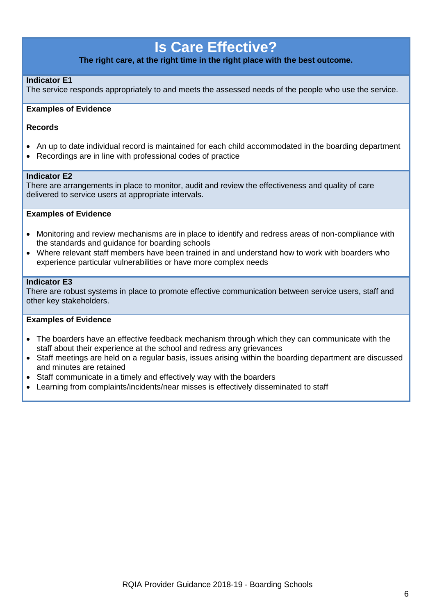### **Is Care Effective?**

**The right care, at the right time in the right place with the best outcome.**

#### **Indicator E1**

The service responds appropriately to and meets the assessed needs of the people who use the service.

#### **Examples of Evidence**

#### **Records**

- An up to date individual record is maintained for each child accommodated in the boarding department
- Recordings are in line with professional codes of practice

#### **Indicator E2**

There are arrangements in place to monitor, audit and review the effectiveness and quality of care delivered to service users at appropriate intervals.

#### **Examples of Evidence**

- Monitoring and review mechanisms are in place to identify and redress areas of non-compliance with the standards and guidance for boarding schools
- Where relevant staff members have been trained in and understand how to work with boarders who experience particular vulnerabilities or have more complex needs

#### **Indicator E3**

There are robust systems in place to promote effective communication between service users, staff and other key stakeholders.

#### **Examples of Evidence**

- The boarders have an effective feedback mechanism through which they can communicate with the staff about their experience at the school and redress any grievances
- Staff meetings are held on a regular basis, issues arising within the boarding department are discussed and minutes are retained
- Staff communicate in a timely and effectively way with the boarders
- Learning from complaints/incidents/near misses is effectively disseminated to staff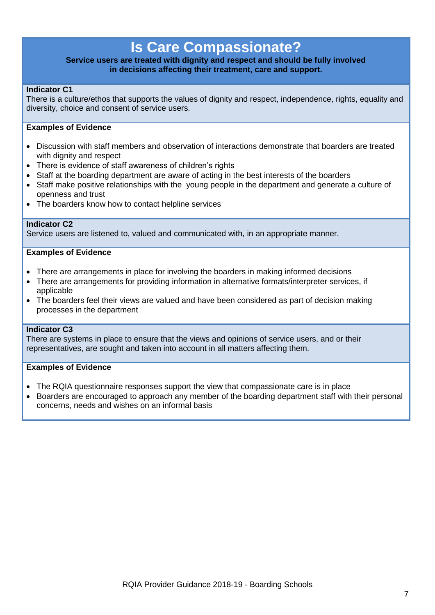### **Is Care Compassionate?**

#### **Service users are treated with dignity and respect and should be fully involved in decisions affecting their treatment, care and support.**

#### **Indicator C1**

There is a culture/ethos that supports the values of dignity and respect, independence, rights, equality and diversity, choice and consent of service users.

#### **Examples of Evidence**

- Discussion with staff members and observation of interactions demonstrate that boarders are treated with dignity and respect
- There is evidence of staff awareness of children's rights
- Staff at the boarding department are aware of acting in the best interests of the boarders
- Staff make positive relationships with the young people in the department and generate a culture of openness and trust
- The boarders know how to contact helpline services

#### **Indicator C2**

Service users are listened to, valued and communicated with, in an appropriate manner.

#### **Examples of Evidence**

- There are arrangements in place for involving the boarders in making informed decisions
- There are arrangements for providing information in alternative formats/interpreter services, if applicable
- The boarders feel their views are valued and have been considered as part of decision making processes in the department

#### **Indicator C3**

There are systems in place to ensure that the views and opinions of service users, and or their representatives, are sought and taken into account in all matters affecting them.

#### **Examples of Evidence**

- The RQIA questionnaire responses support the view that compassionate care is in place
- Boarders are encouraged to approach any member of the boarding department staff with their personal concerns, needs and wishes on an informal basis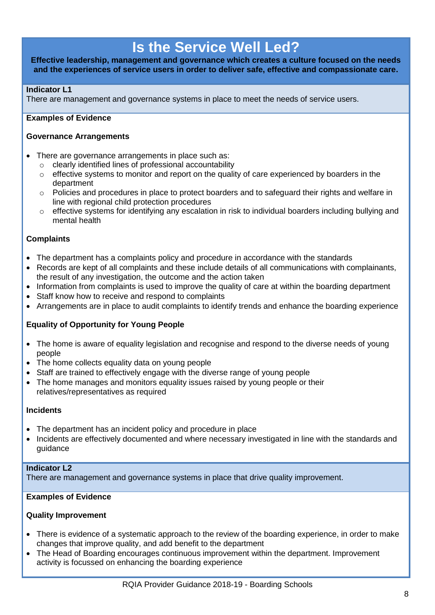### **Is the Service Well Led?**

#### **Effective leadership, management and governance which creates a culture focused on the needs and the experiences of service users in order to deliver safe, effective and compassionate care.**

#### **Indicator L1**

There are management and governance systems in place to meet the needs of service users.

#### **Examples of Evidence**

#### **Governance Arrangements**

- There are governance arrangements in place such as:
	- o clearly identified lines of professional accountability
	- $\circ$  effective systems to monitor and report on the quality of care experienced by boarders in the department
	- $\circ$  Policies and procedures in place to protect boarders and to safeguard their rights and welfare in line with regional child protection procedures
	- o effective systems for identifying any escalation in risk to individual boarders including bullying and mental health

#### **Complaints**

- The department has a complaints policy and procedure in accordance with the standards
- Records are kept of all complaints and these include details of all communications with complainants, the result of any investigation, the outcome and the action taken
- Information from complaints is used to improve the quality of care at within the boarding department
- Staff know how to receive and respond to complaints
- Arrangements are in place to audit complaints to identify trends and enhance the boarding experience

#### **Equality of Opportunity for Young People**

- The home is aware of equality legislation and recognise and respond to the diverse needs of young people
- The home collects equality data on young people
- Staff are trained to effectively engage with the diverse range of young people
- The home manages and monitors equality issues raised by young people or their relatives/representatives as required

#### **Incidents**

- The department has an incident policy and procedure in place
- Incidents are effectively documented and where necessary investigated in line with the standards and guidance

#### **Indicator L2**

There are management and governance systems in place that drive quality improvement.

#### **Examples of Evidence**

#### **Quality Improvement**

- There is evidence of a systematic approach to the review of the boarding experience, in order to make changes that improve quality, and add benefit to the department
- The Head of Boarding encourages continuous improvement within the department. Improvement activity is focussed on enhancing the boarding experience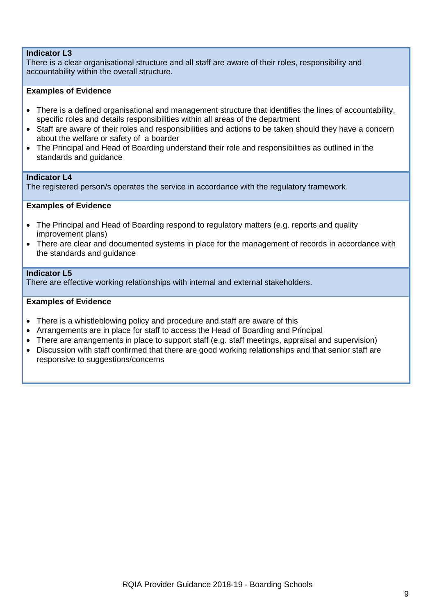#### **Indicator L3**

There is a clear organisational structure and all staff are aware of their roles, responsibility and accountability within the overall structure.

#### **Examples of Evidence**

- There is a defined organisational and management structure that identifies the lines of accountability, specific roles and details responsibilities within all areas of the department
- Staff are aware of their roles and responsibilities and actions to be taken should they have a concern about the welfare or safety of a boarder
- The Principal and Head of Boarding understand their role and responsibilities as outlined in the standards and guidance

#### **Indicator L4**

The registered person/s operates the service in accordance with the regulatory framework.

#### **Examples of Evidence**

- The Principal and Head of Boarding respond to regulatory matters (e.g. reports and quality improvement plans)
- There are clear and documented systems in place for the management of records in accordance with the standards and guidance

#### **Indicator L5**

There are effective working relationships with internal and external stakeholders.

#### **Examples of Evidence**

- There is a whistleblowing policy and procedure and staff are aware of this
- Arrangements are in place for staff to access the Head of Boarding and Principal
- There are arrangements in place to support staff (e.g. staff meetings, appraisal and supervision)
- Discussion with staff confirmed that there are good working relationships and that senior staff are responsive to suggestions/concerns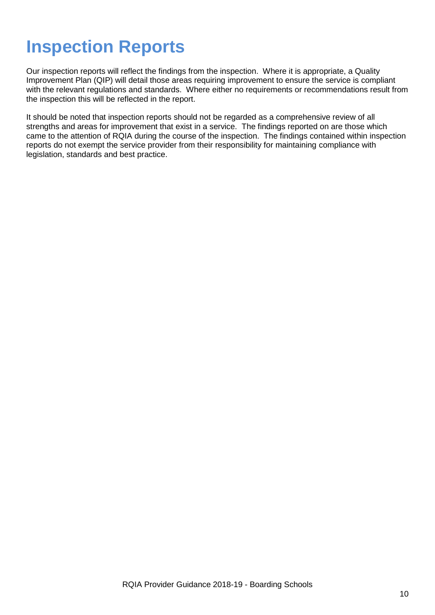## **Inspection Reports**

Our inspection reports will reflect the findings from the inspection. Where it is appropriate, a Quality Improvement Plan (QIP) will detail those areas requiring improvement to ensure the service is compliant with the relevant regulations and standards. Where either no requirements or recommendations result from the inspection this will be reflected in the report.

It should be noted that inspection reports should not be regarded as a comprehensive review of all strengths and areas for improvement that exist in a service. The findings reported on are those which came to the attention of RQIA during the course of the inspection. The findings contained within inspection reports do not exempt the service provider from their responsibility for maintaining compliance with legislation, standards and best practice.